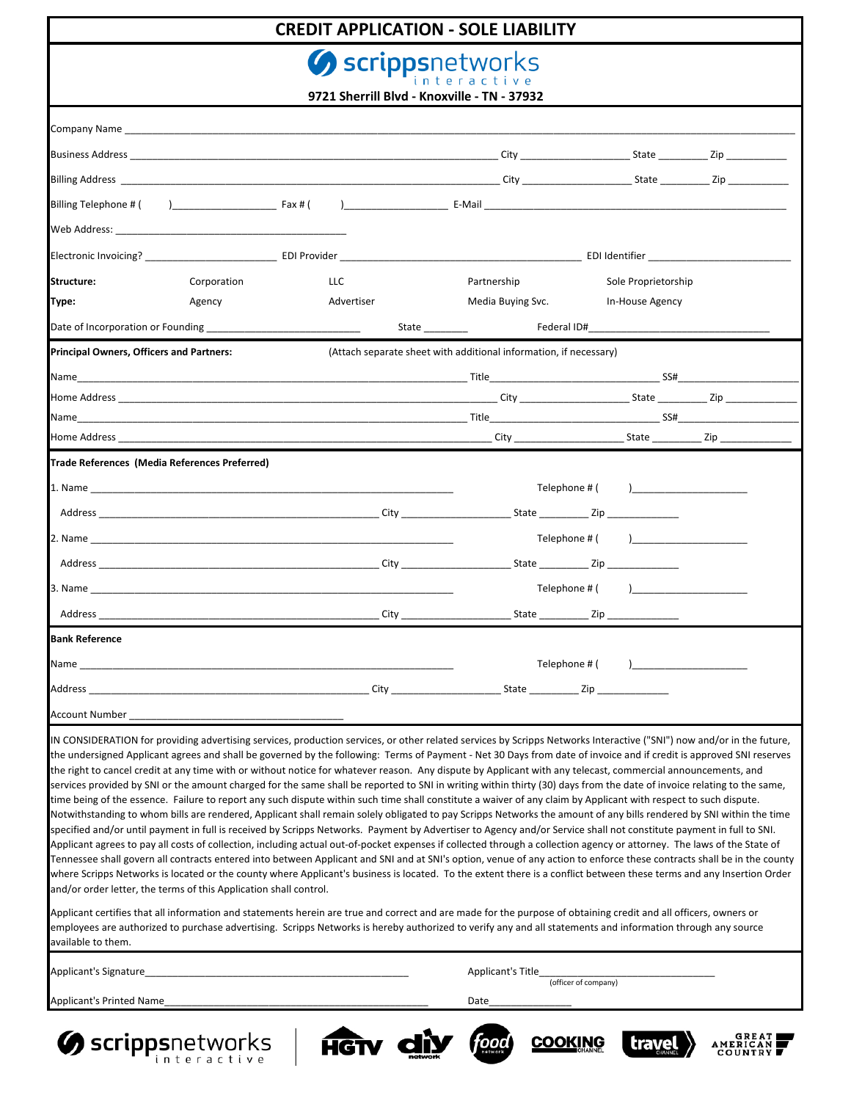# **CREDIT APPLICATION - SOLE LIABILITY**

Scrippsnetworks

| 9721 Sherrill Blvd - Knoxville - TN - 37932                                                                                                                                                                                                                                                                                                                                                                                                                                                                                                                                                                                                                                                                                                                                                                                                                                                                                                                                                                                                                                                                                                                                                                                                                                                                                                                                                                                                                                                                                                                                                                                                                                                                                                                                                                |            |                                                                                                                |                                    |  |
|------------------------------------------------------------------------------------------------------------------------------------------------------------------------------------------------------------------------------------------------------------------------------------------------------------------------------------------------------------------------------------------------------------------------------------------------------------------------------------------------------------------------------------------------------------------------------------------------------------------------------------------------------------------------------------------------------------------------------------------------------------------------------------------------------------------------------------------------------------------------------------------------------------------------------------------------------------------------------------------------------------------------------------------------------------------------------------------------------------------------------------------------------------------------------------------------------------------------------------------------------------------------------------------------------------------------------------------------------------------------------------------------------------------------------------------------------------------------------------------------------------------------------------------------------------------------------------------------------------------------------------------------------------------------------------------------------------------------------------------------------------------------------------------------------------|------------|----------------------------------------------------------------------------------------------------------------|------------------------------------|--|
|                                                                                                                                                                                                                                                                                                                                                                                                                                                                                                                                                                                                                                                                                                                                                                                                                                                                                                                                                                                                                                                                                                                                                                                                                                                                                                                                                                                                                                                                                                                                                                                                                                                                                                                                                                                                            |            |                                                                                                                |                                    |  |
|                                                                                                                                                                                                                                                                                                                                                                                                                                                                                                                                                                                                                                                                                                                                                                                                                                                                                                                                                                                                                                                                                                                                                                                                                                                                                                                                                                                                                                                                                                                                                                                                                                                                                                                                                                                                            |            |                                                                                                                |                                    |  |
|                                                                                                                                                                                                                                                                                                                                                                                                                                                                                                                                                                                                                                                                                                                                                                                                                                                                                                                                                                                                                                                                                                                                                                                                                                                                                                                                                                                                                                                                                                                                                                                                                                                                                                                                                                                                            |            |                                                                                                                |                                    |  |
|                                                                                                                                                                                                                                                                                                                                                                                                                                                                                                                                                                                                                                                                                                                                                                                                                                                                                                                                                                                                                                                                                                                                                                                                                                                                                                                                                                                                                                                                                                                                                                                                                                                                                                                                                                                                            |            |                                                                                                                |                                    |  |
|                                                                                                                                                                                                                                                                                                                                                                                                                                                                                                                                                                                                                                                                                                                                                                                                                                                                                                                                                                                                                                                                                                                                                                                                                                                                                                                                                                                                                                                                                                                                                                                                                                                                                                                                                                                                            |            |                                                                                                                |                                    |  |
|                                                                                                                                                                                                                                                                                                                                                                                                                                                                                                                                                                                                                                                                                                                                                                                                                                                                                                                                                                                                                                                                                                                                                                                                                                                                                                                                                                                                                                                                                                                                                                                                                                                                                                                                                                                                            |            |                                                                                                                |                                    |  |
| Structure:<br>Corporation                                                                                                                                                                                                                                                                                                                                                                                                                                                                                                                                                                                                                                                                                                                                                                                                                                                                                                                                                                                                                                                                                                                                                                                                                                                                                                                                                                                                                                                                                                                                                                                                                                                                                                                                                                                  | <b>LLC</b> | Partnership                                                                                                    | Sole Proprietorship                |  |
| Type:<br>Agency                                                                                                                                                                                                                                                                                                                                                                                                                                                                                                                                                                                                                                                                                                                                                                                                                                                                                                                                                                                                                                                                                                                                                                                                                                                                                                                                                                                                                                                                                                                                                                                                                                                                                                                                                                                            | Advertiser | Media Buying Svc.                                                                                              | In-House Agency                    |  |
| Date of Incorporation or Founding __________________________________                                                                                                                                                                                                                                                                                                                                                                                                                                                                                                                                                                                                                                                                                                                                                                                                                                                                                                                                                                                                                                                                                                                                                                                                                                                                                                                                                                                                                                                                                                                                                                                                                                                                                                                                       |            | State and the state of the state of the state of the state of the state of the state of the state of the state | Federal ID#                        |  |
| <b>Principal Owners, Officers and Partners:</b>                                                                                                                                                                                                                                                                                                                                                                                                                                                                                                                                                                                                                                                                                                                                                                                                                                                                                                                                                                                                                                                                                                                                                                                                                                                                                                                                                                                                                                                                                                                                                                                                                                                                                                                                                            |            | (Attach separate sheet with additional information, if necessary)                                              |                                    |  |
| Name                                                                                                                                                                                                                                                                                                                                                                                                                                                                                                                                                                                                                                                                                                                                                                                                                                                                                                                                                                                                                                                                                                                                                                                                                                                                                                                                                                                                                                                                                                                                                                                                                                                                                                                                                                                                       |            |                                                                                                                |                                    |  |
|                                                                                                                                                                                                                                                                                                                                                                                                                                                                                                                                                                                                                                                                                                                                                                                                                                                                                                                                                                                                                                                                                                                                                                                                                                                                                                                                                                                                                                                                                                                                                                                                                                                                                                                                                                                                            |            |                                                                                                                |                                    |  |
|                                                                                                                                                                                                                                                                                                                                                                                                                                                                                                                                                                                                                                                                                                                                                                                                                                                                                                                                                                                                                                                                                                                                                                                                                                                                                                                                                                                                                                                                                                                                                                                                                                                                                                                                                                                                            |            |                                                                                                                |                                    |  |
|                                                                                                                                                                                                                                                                                                                                                                                                                                                                                                                                                                                                                                                                                                                                                                                                                                                                                                                                                                                                                                                                                                                                                                                                                                                                                                                                                                                                                                                                                                                                                                                                                                                                                                                                                                                                            |            |                                                                                                                |                                    |  |
| Trade References (Media References Preferred)                                                                                                                                                                                                                                                                                                                                                                                                                                                                                                                                                                                                                                                                                                                                                                                                                                                                                                                                                                                                                                                                                                                                                                                                                                                                                                                                                                                                                                                                                                                                                                                                                                                                                                                                                              |            |                                                                                                                |                                    |  |
|                                                                                                                                                                                                                                                                                                                                                                                                                                                                                                                                                                                                                                                                                                                                                                                                                                                                                                                                                                                                                                                                                                                                                                                                                                                                                                                                                                                                                                                                                                                                                                                                                                                                                                                                                                                                            |            | Telephone # (                                                                                                  |                                    |  |
|                                                                                                                                                                                                                                                                                                                                                                                                                                                                                                                                                                                                                                                                                                                                                                                                                                                                                                                                                                                                                                                                                                                                                                                                                                                                                                                                                                                                                                                                                                                                                                                                                                                                                                                                                                                                            |            |                                                                                                                |                                    |  |
|                                                                                                                                                                                                                                                                                                                                                                                                                                                                                                                                                                                                                                                                                                                                                                                                                                                                                                                                                                                                                                                                                                                                                                                                                                                                                                                                                                                                                                                                                                                                                                                                                                                                                                                                                                                                            |            |                                                                                                                | Telephone # ( )                    |  |
|                                                                                                                                                                                                                                                                                                                                                                                                                                                                                                                                                                                                                                                                                                                                                                                                                                                                                                                                                                                                                                                                                                                                                                                                                                                                                                                                                                                                                                                                                                                                                                                                                                                                                                                                                                                                            |            |                                                                                                                |                                    |  |
|                                                                                                                                                                                                                                                                                                                                                                                                                                                                                                                                                                                                                                                                                                                                                                                                                                                                                                                                                                                                                                                                                                                                                                                                                                                                                                                                                                                                                                                                                                                                                                                                                                                                                                                                                                                                            |            |                                                                                                                |                                    |  |
|                                                                                                                                                                                                                                                                                                                                                                                                                                                                                                                                                                                                                                                                                                                                                                                                                                                                                                                                                                                                                                                                                                                                                                                                                                                                                                                                                                                                                                                                                                                                                                                                                                                                                                                                                                                                            |            |                                                                                                                |                                    |  |
| Bank Reference                                                                                                                                                                                                                                                                                                                                                                                                                                                                                                                                                                                                                                                                                                                                                                                                                                                                                                                                                                                                                                                                                                                                                                                                                                                                                                                                                                                                                                                                                                                                                                                                                                                                                                                                                                                             |            |                                                                                                                |                                    |  |
|                                                                                                                                                                                                                                                                                                                                                                                                                                                                                                                                                                                                                                                                                                                                                                                                                                                                                                                                                                                                                                                                                                                                                                                                                                                                                                                                                                                                                                                                                                                                                                                                                                                                                                                                                                                                            |            |                                                                                                                | Telephone # ( )___________________ |  |
|                                                                                                                                                                                                                                                                                                                                                                                                                                                                                                                                                                                                                                                                                                                                                                                                                                                                                                                                                                                                                                                                                                                                                                                                                                                                                                                                                                                                                                                                                                                                                                                                                                                                                                                                                                                                            |            |                                                                                                                |                                    |  |
| Account Number                                                                                                                                                                                                                                                                                                                                                                                                                                                                                                                                                                                                                                                                                                                                                                                                                                                                                                                                                                                                                                                                                                                                                                                                                                                                                                                                                                                                                                                                                                                                                                                                                                                                                                                                                                                             |            |                                                                                                                |                                    |  |
| IN CONSIDERATION for providing advertising services, production services, or other related services by Scripps Networks Interactive ("SNI") now and/or in the future,<br>the undersigned Applicant agrees and shall be governed by the following: Terms of Payment - Net 30 Days from date of invoice and if credit is approved SNI reserves<br>the right to cancel credit at any time with or without notice for whatever reason. Any dispute by Applicant with any telecast, commercial announcements, and<br>services provided by SNI or the amount charged for the same shall be reported to SNI in writing within thirty (30) days from the date of invoice relating to the same,<br>time being of the essence. Failure to report any such dispute within such time shall constitute a waiver of any claim by Applicant with respect to such dispute.<br>Notwithstanding to whom bills are rendered, Applicant shall remain solely obligated to pay Scripps Networks the amount of any bills rendered by SNI within the time<br>specified and/or until payment in full is received by Scripps Networks. Payment by Advertiser to Agency and/or Service shall not constitute payment in full to SNI.<br>Applicant agrees to pay all costs of collection, including actual out-of-pocket expenses if collected through a collection agency or attorney. The laws of the State of<br>Tennessee shall govern all contracts entered into between Applicant and SNI and at SNI's option, venue of any action to enforce these contracts shall be in the county<br>where Scripps Networks is located or the county where Applicant's business is located. To the extent there is a conflict between these terms and any Insertion Order<br>and/or order letter, the terms of this Application shall control. |            |                                                                                                                |                                    |  |
| Applicant certifies that all information and statements herein are true and correct and are made for the purpose of obtaining credit and all officers, owners or<br>employees are authorized to purchase advertising. Scripps Networks is hereby authorized to verify any and all statements and information through any source<br>available to them.                                                                                                                                                                                                                                                                                                                                                                                                                                                                                                                                                                                                                                                                                                                                                                                                                                                                                                                                                                                                                                                                                                                                                                                                                                                                                                                                                                                                                                                      |            |                                                                                                                |                                    |  |
| Applicant's Signature_                                                                                                                                                                                                                                                                                                                                                                                                                                                                                                                                                                                                                                                                                                                                                                                                                                                                                                                                                                                                                                                                                                                                                                                                                                                                                                                                                                                                                                                                                                                                                                                                                                                                                                                                                                                     |            | Applicant's Title                                                                                              |                                    |  |
|                                                                                                                                                                                                                                                                                                                                                                                                                                                                                                                                                                                                                                                                                                                                                                                                                                                                                                                                                                                                                                                                                                                                                                                                                                                                                                                                                                                                                                                                                                                                                                                                                                                                                                                                                                                                            |            |                                                                                                                | (officer of company)               |  |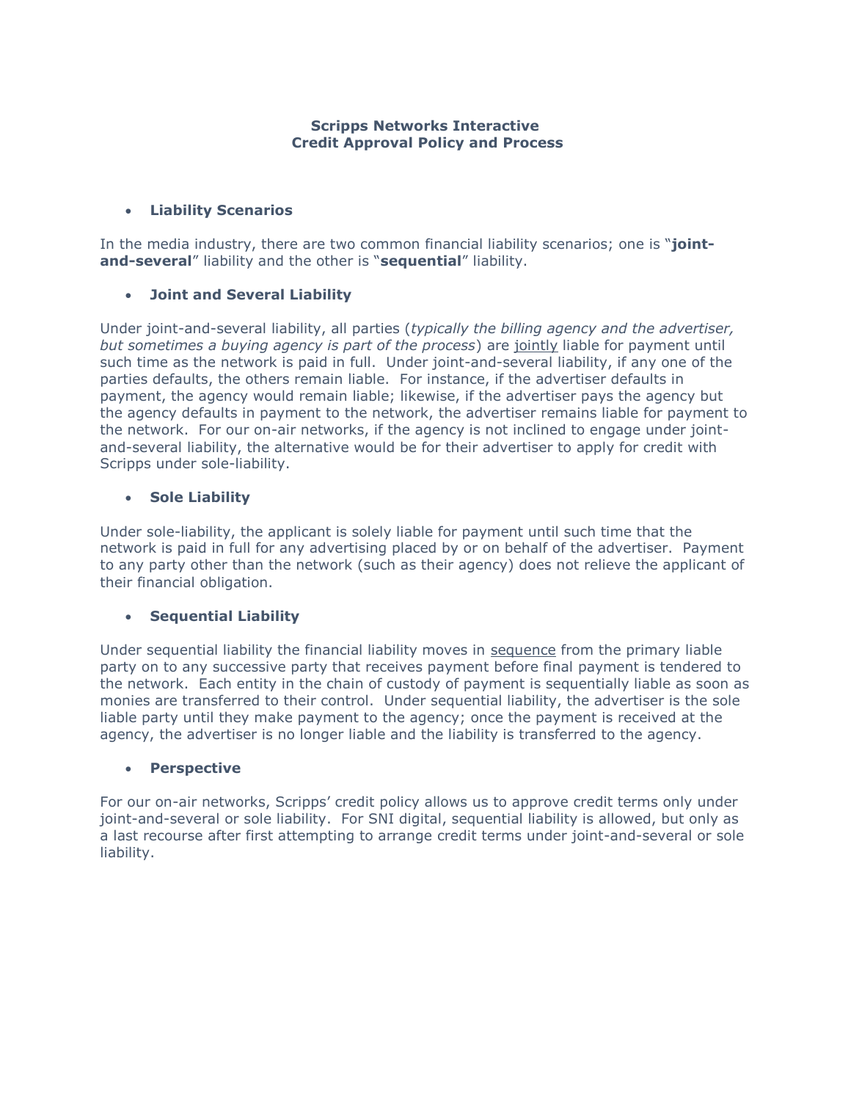## **Scripps Networks Interactive Credit Approval Policy and Process**

# **Liability Scenarios**

In the media industry, there are two common financial liability scenarios; one is "**jointand-several**" liability and the other is "**sequential**" liability.

# **Joint and Several Liability**

Under joint-and-several liability, all parties (*typically the billing agency and the advertiser, but sometimes a buying agency is part of the process*) are jointly liable for payment until such time as the network is paid in full. Under joint-and-several liability, if any one of the parties defaults, the others remain liable. For instance, if the advertiser defaults in payment, the agency would remain liable; likewise, if the advertiser pays the agency but the agency defaults in payment to the network, the advertiser remains liable for payment to the network. For our on-air networks, if the agency is not inclined to engage under jointand-several liability, the alternative would be for their advertiser to apply for credit with Scripps under sole-liability.

#### **Sole Liability**

Under sole-liability, the applicant is solely liable for payment until such time that the network is paid in full for any advertising placed by or on behalf of the advertiser. Payment to any party other than the network (such as their agency) does not relieve the applicant of their financial obligation.

#### **Sequential Liability**

Under sequential liability the financial liability moves in sequence from the primary liable party on to any successive party that receives payment before final payment is tendered to the network. Each entity in the chain of custody of payment is sequentially liable as soon as monies are transferred to their control. Under sequential liability, the advertiser is the sole liable party until they make payment to the agency; once the payment is received at the agency, the advertiser is no longer liable and the liability is transferred to the agency.

#### **Perspective**

For our on-air networks, Scripps' credit policy allows us to approve credit terms only under joint-and-several or sole liability. For SNI digital, sequential liability is allowed, but only as a last recourse after first attempting to arrange credit terms under joint-and-several or sole liability.